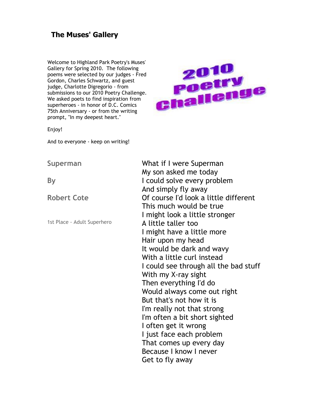# **The Muses' Gallery**

Welcome to Highland Park Poetry's Muses' Gallery for Spring 2010. The following poems were selected by our judges - Fred Gordon, Charles Schwartz, and guest judge, Charlotte Digregorio - from submissions to our 2010 Poetry Challenge. We asked poets to find inspiration from superheroes - in honor of D.C. Comics 75th Anniversary - or from the writing prompt, "In my deepest heart."



Enjoy!

And to everyone - keep on writing!

# **Superman**

**By** 

**Robert Cote** 

1st Place - Adult Superhero

What if I were Superman My son asked me today I could solve every problem And simply fly away Of course I'd look a little different This much would be true I might look a little stronger A little taller too I might have a little more Hair upon my head It would be dark and wavy With a little curl instead I could see through all the bad stuff With my X-ray sight Then everything I'd do Would always come out right But that's not how it is I'm really not that strong I'm often a bit short sighted I often get it wrong I just face each problem That comes up every day Because I know I never Get to fly away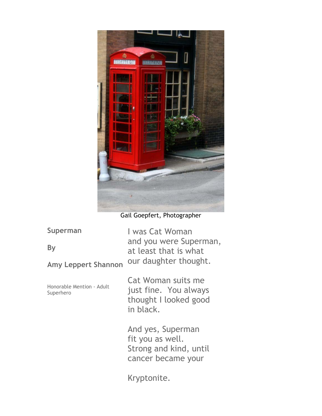

Gail Goepfert, Photographer

| Superman                   | I was Cat Woman                                 |
|----------------------------|-------------------------------------------------|
| <b>By</b>                  | and you were Superman,<br>at least that is what |
| <b>Amy Leppert Shannon</b> | our daughter thought.                           |

Honorable Mention - Adult Superhero

Cat Woman suits me just fine. You always thought I looked good in black.

And yes, Superman fit you as well. Strong and kind, until cancer became your

Kryptonite.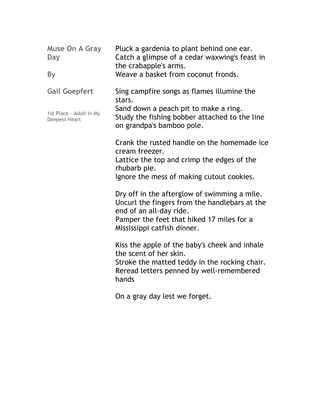| Muse On A Gray<br>Day                           | Pluck a gardenia to plant behind one ear.<br>Catch a glimpse of a cedar waxwing's feast in<br>the crabapple's arms.                                                           |
|-------------------------------------------------|-------------------------------------------------------------------------------------------------------------------------------------------------------------------------------|
| <b>By</b>                                       | Weave a basket from coconut fronds.                                                                                                                                           |
| <b>Gail Goepfert</b>                            | Sing campfire songs as flames illumine the<br>stars.                                                                                                                          |
| 1st Place - Adult In My<br><b>Deepest Heart</b> | Sand down a peach pit to make a ring.<br>Study the fishing bobber attached to the line<br>on grandpa's bamboo pole.                                                           |
|                                                 | Crank the rusted handle on the homemade ice<br>cream freezer.                                                                                                                 |
|                                                 | Lattice the top and crimp the edges of the<br>rhubarb pie.                                                                                                                    |
|                                                 | Ignore the mess of making cutout cookies.                                                                                                                                     |
|                                                 | Dry off in the afterglow of swimming a mile.<br>Uncurl the fingers from the handlebars at the<br>end of an all-day ride.                                                      |
|                                                 | Pamper the feet that hiked 17 miles for a<br>Mississippi catfish dinner.                                                                                                      |
|                                                 | Kiss the apple of the baby's cheek and inhale<br>the scent of her skin.<br>Stroke the matted teddy in the rocking chair.<br>Reread letters penned by well-remembered<br>hands |
|                                                 | On a gray day lest we forget.                                                                                                                                                 |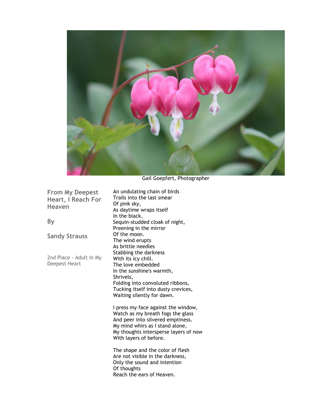

Gail Goepfert, Photographer

**From My Deepest Heart, I Reach For Heaven** 

**By** 

**Sandy Strauss** 

2nd Place - Adult In My Deepest Heart

An undulating chain of birds Trails into the last smear Of pink sky, As daytime wraps itself In the black, Sequin-studded cloak of night, Preening in the mirror Of the moon. The wind erupts As brittle needles Stabbing the darkness With its icy chill. The love embedded In the sunshine's warmth, Shrivels, Folding into convoluted ribbons, Tucking itself into dusty crevices, Waiting silently for dawn.

I press my face against the window, Watch as my breath fogs the glass And peer into silvered emptiness. My mind whirs as I stand alone, My thoughts intersperse layers of now With layers of before.

The shape and the color of flesh Are not visible in the darkness, Only the sound and intention Of thoughts Reach the ears of Heaven.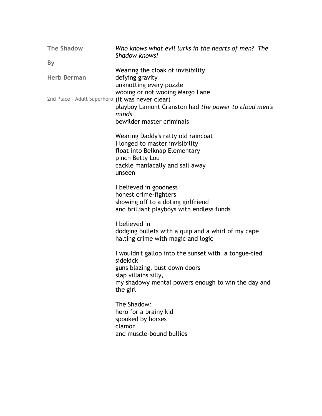| <b>The Shadow</b>                                | Who knows what evil lurks in the hearts of men? The<br>Shadow knows!                                                                                                                        |
|--------------------------------------------------|---------------------------------------------------------------------------------------------------------------------------------------------------------------------------------------------|
| <b>By</b>                                        |                                                                                                                                                                                             |
| <b>Herb Berman</b>                               | Wearing the cloak of invisibility<br>defying gravity<br>unknotting every puzzle                                                                                                             |
| 2nd Place - Adult Superhero (it was never clear) | wooing or not wooing Margo Lane<br>playboy Lamont Cranston had the power to cloud men's<br>minds<br>bewilder master criminals                                                               |
|                                                  | Wearing Daddy's ratty old raincoat<br>I longed to master invisibility<br>float into Belknap Elementary<br>pinch Betty Lou<br>cackle maniacally and sail away<br>unseen                      |
|                                                  | I believed in goodness<br>honest crime-fighters<br>showing off to a doting girlfriend<br>and brilliant playboys with endless funds                                                          |
|                                                  | I believed in<br>dodging bullets with a quip and a whirl of my cape<br>halting crime with magic and logic                                                                                   |
|                                                  | I wouldn't gallop into the sunset with a tongue-tied<br>sidekick<br>guns blazing, bust down doors<br>slap villains silly,<br>my shadowy mental powers enough to win the day and<br>the girl |
|                                                  | The Shadow:<br>hero for a brainy kid<br>spooked by horses<br>clamor<br>and muscle-bound bullies                                                                                             |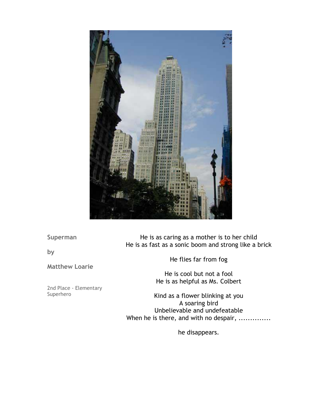

**Superman** 

**by** 

**Matthew Loarie** 

2nd Place - Elementary Superhero

He is as caring as a mother is to her child He is as fast as a sonic boom and strong like a brick

He flies far from fog

He is cool but not a fool He is as helpful as Ms. Colbert

Kind as a flower blinking at you A soaring bird Unbelievable and undefeatable When he is there, and with no despair, ..............

he disappears.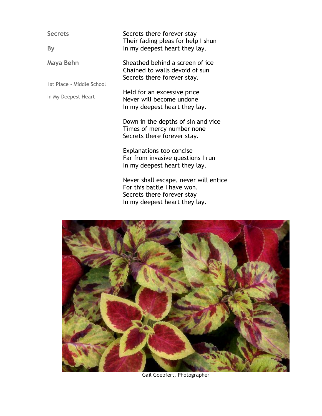**Secrets** 

**By** 

**Maya Behn** 

1st Place - Middle School

In My Deepest Heart

Secrets there forever stay Their fading pleas for help I shun In my deepest heart they lay.

Sheathed behind a screen of ice Chained to walls devoid of sun Secrets there forever stay.

Held for an excessive price Never will become undone In my deepest heart they lay.

Down in the depths of sin and vice Times of mercy number none Secrets there forever stay.

Explanations too concise Far from invasive questions I run In my deepest heart they lay.

Never shall escape, never will entice For this battle I have won. Secrets there forever stay In my deepest heart they lay.



Gail Goepfert, Photographer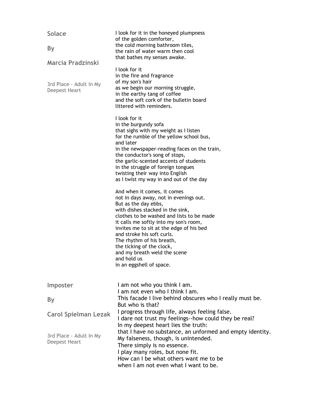| <b>Solace</b><br><b>By</b>                                    | I look for it in the honeyed plumpness<br>of the golden comforter,<br>the cold morning bathroom tiles,<br>the rain of water warm then cool<br>that bathes my senses awake.                                                                                                                                                                                                                                                                                                                                                                                                                                                                                                                                                                                                                                                         |
|---------------------------------------------------------------|------------------------------------------------------------------------------------------------------------------------------------------------------------------------------------------------------------------------------------------------------------------------------------------------------------------------------------------------------------------------------------------------------------------------------------------------------------------------------------------------------------------------------------------------------------------------------------------------------------------------------------------------------------------------------------------------------------------------------------------------------------------------------------------------------------------------------------|
| Marcia Pradzinski<br>3rd Place - Adult In My<br>Deepest Heart | I look for it<br>in the fire and fragrance<br>of my son's hair<br>as we begin our morning struggle,<br>in the earthy tang of coffee<br>and the soft cork of the bulletin board<br>littered with reminders.                                                                                                                                                                                                                                                                                                                                                                                                                                                                                                                                                                                                                         |
|                                                               | I look for it<br>in the burgundy sofa<br>that sighs with my weight as I listen<br>for the rumble of the yellow school bus,<br>and later<br>in the newspaper-reading faces on the train,<br>the conductor's song of stops,<br>the garlic-scented accents of students<br>in the struggle of foreign tongues<br>twisting their way into English<br>as I twist my way in and out of the day<br>And when it comes, it comes<br>not in days away, not in evenings out.<br>But as the day ebbs,<br>with dishes stacked in the sink,<br>clothes to be washed and lists to be made<br>it calls me softly into my son's room,<br>invites me to sit at the edge of his bed<br>and stroke his soft curls.<br>The rhythm of his breath,<br>the ticking of the clock,<br>and my breath weld the scene<br>and hold us<br>in an eggshell of space. |
| Imposter                                                      | I am not who you think I am.<br>I am not even who I think I am.                                                                                                                                                                                                                                                                                                                                                                                                                                                                                                                                                                                                                                                                                                                                                                    |
| <b>By</b>                                                     | This facade I live behind obscures who I really must be.<br>But who is that?                                                                                                                                                                                                                                                                                                                                                                                                                                                                                                                                                                                                                                                                                                                                                       |
| <b>Carol Spielman Lezak</b>                                   | I progress through life, always feeling false.<br>I dare not trust my feelings--how could they be real?<br>In my deepest heart lies the truth:                                                                                                                                                                                                                                                                                                                                                                                                                                                                                                                                                                                                                                                                                     |
| 3rd Place - Adult In My<br>Deepest Heart                      | that I have no substance, an unformed and empty identity.<br>My falseness, though, is unintended.<br>There simply is no essence.<br>I play many roles, but none fit.<br>How can I be what others want me to be<br>when I am not even what I want to be.                                                                                                                                                                                                                                                                                                                                                                                                                                                                                                                                                                            |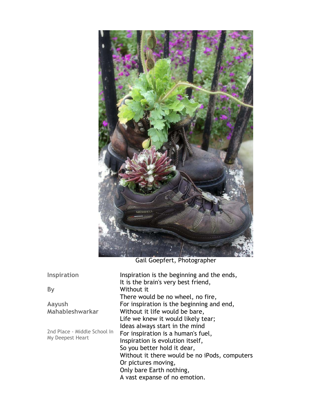

Gail Goepfert, Photographer

**Inspiration** 

**By** 

**Aayush Mahableshwarkar** 

2nd Place - Middle School In My Deepest Heart

Inspiration is the beginning and the ends, It is the brain's very best friend, Without it There would be no wheel, no fire, For inspiration is the beginning and end, Without it life would be bare, Life we knew it would likely tear; Ideas always start in the mind For inspiration is a human's fuel, Inspiration is evolution itself, So you better hold it dear, Without it there would be no iPods, computers Or pictures moving, Only bare Earth nothing, A vast expanse of no emotion.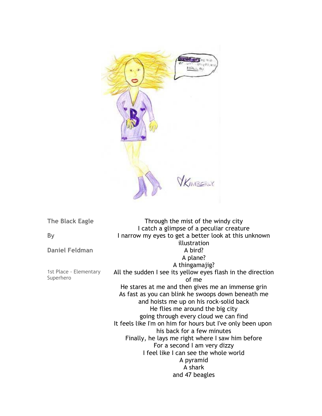

**The Black Eagle** 

**By** 

**Daniel Feldman** 

1st Place - Elementary Superhero

Through the mist of the windy city I catch a glimpse of a peculiar creature I narrow my eyes to get a better look at this unknown illustration A bird? A plane? A thingamajig? All the sudden I see its yellow eyes flash in the direction of me He stares at me and then gives me an immense grin As fast as you can blink he swoops down beneath me and hoists me up on his rock-solid back He flies me around the big city going through every cloud we can find It feels like I'm on him for hours but I've only been upon his back for a few minutes Finally, he lays me right where I saw him before For a second I am very dizzy I feel like I can see the whole world A pyramid A shark and 47 beagles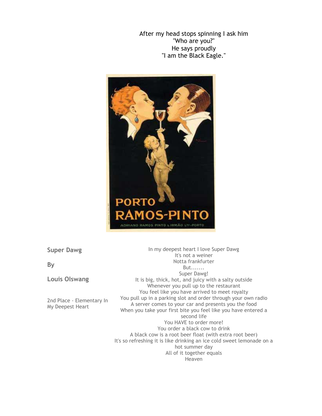After my head stops spinning I ask him "Who are you?" He says proudly "I am the Black Eagle."



### **Super Dawg**

**By** 

**Louis Olswang** 

2nd Place - Elementary In My Deepest Heart

In my deepest heart I love Super Dawg It's not a weiner Notta frankfurter But....... Super Dawg! It is big, thick, hot, and juicy with a salty outside Whenever you pull up to the restaurant You feel like you have arrived to meet royalty You pull up in a parking slot and order through your own radio A server comes to your car and presents you the food When you take your first bite you feel like you have entered a second life You HAVE to order more! You order a black cow to drink A black cow is a root beer float (with extra root beer) It's so refreshing it is like drinking an ice cold sweet lemonade on a hot summer day All of it together equals Heaven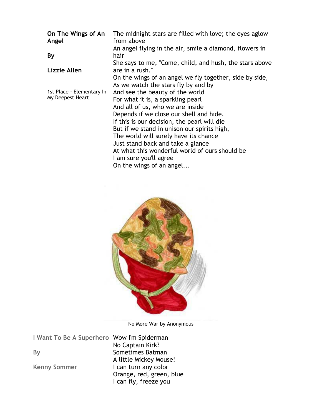| On The Wings of An<br>Angel | The midnight stars are filled with love; the eyes aglow<br>from above |
|-----------------------------|-----------------------------------------------------------------------|
|                             | An angel flying in the air, smile a diamond, flowers in               |
| By                          | hair                                                                  |
|                             | She says to me, "Come, child, and hush, the stars above               |
| Lizzie Allen                | are in a rush."                                                       |
|                             | On the wings of an angel we fly together, side by side,               |
|                             | As we watch the stars fly by and by                                   |
| 1st Place - Elementary In   | And see the beauty of the world                                       |
| My Deepest Heart            | For what it is, a sparkling pearl                                     |
|                             | And all of us, who we are inside                                      |
|                             | Depends if we close our shell and hide.                               |
|                             | If this is our decision, the pearl will die                           |
|                             | But if we stand in unison our spirits high,                           |
|                             | The world will surely have its chance                                 |
|                             | Just stand back and take a glance                                     |
|                             | At what this wonderful world of ours should be                        |
|                             | I am sure you'll agree                                                |
|                             | On the wings of an angel                                              |



No More War by Anonymous

**I Want To Be A Superhero**  Wow I'm Spiderman

**By** 

**Kenny Sommer** 

No Captain Kirk? Sometimes Batman A little Mickey Mouse! I can turn any color Orange, red, green, blue I can fly, freeze you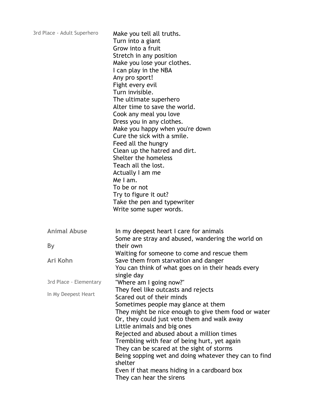| 3rd Place - Adult Superhero | Make you tell all truths.<br>Turn into a giant<br>Grow into a fruit<br>Stretch in any position<br>Make you lose your clothes.<br>I can play in the NBA<br>Any pro sport!<br>Fight every evil<br>Turn invisible.<br>The ultimate superhero<br>Alter time to save the world.<br>Cook any meal you love<br>Dress you in any clothes.<br>Make you happy when you're down<br>Cure the sick with a smile.<br>Feed all the hungry<br>Clean up the hatred and dirt.<br>Shelter the homeless<br>Teach all the lost.<br>Actually I am me<br>Me I am.<br>To be or not<br>Try to figure it out?<br>Take the pen and typewriter<br>Write some super words. |
|-----------------------------|-----------------------------------------------------------------------------------------------------------------------------------------------------------------------------------------------------------------------------------------------------------------------------------------------------------------------------------------------------------------------------------------------------------------------------------------------------------------------------------------------------------------------------------------------------------------------------------------------------------------------------------------------|
| <b>Animal Abuse</b>         | In my deepest heart I care for animals<br>Some are stray and abused, wandering the world on                                                                                                                                                                                                                                                                                                                                                                                                                                                                                                                                                   |
| <b>By</b>                   | their own                                                                                                                                                                                                                                                                                                                                                                                                                                                                                                                                                                                                                                     |
| Ari Kohn                    | Waiting for someone to come and rescue them<br>Save them from starvation and danger<br>You can think of what goes on in their heads every                                                                                                                                                                                                                                                                                                                                                                                                                                                                                                     |
| 3rd Place - Elementary      | single day<br>"Where am I going now?"                                                                                                                                                                                                                                                                                                                                                                                                                                                                                                                                                                                                         |
| In My Deepest Heart         | They feel like outcasts and rejects<br>Scared out of their minds<br>Sometimes people may glance at them<br>They might be nice enough to give them food or water<br>Or, they could just veto them and walk away<br>Little animals and big ones<br>Rejected and abused about a million times<br>Trembling with fear of being hurt, yet again<br>They can be scared at the sight of storms<br>Being sopping wet and doing whatever they can to find<br>shelter<br>Even if that means hiding in a cardboard box<br>They can hear the sirens                                                                                                       |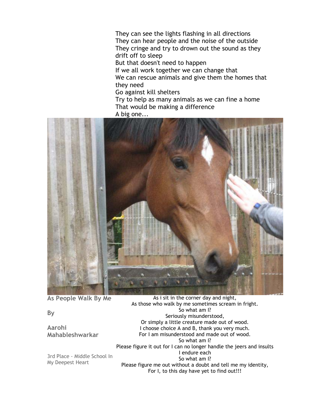They can see the lights flashing in all directions They can hear people and the noise of the outside They cringe and try to drown out the sound as they drift off to sleep But that doesn't need to happen If we all work together we can change that We can rescue animals and give them the homes that they need Go against kill shelters Try to help as many animals as we can fine a home That would be making a difference A big one...



**As People Walk By Me** 

# **By**

**Aarohi Mahableshwarkar** 

3rd Place - Middle School In My Deepest Heart

As i sit in the corner day and night, As those who walk by me sometimes scream in fright. So what am I? Seriously misunderstood, Or simply a little creature made out of wood. I choose choice A and B, thank you very much. For I am misunderstood and made out of wood. So what am I? Please figure it out for I can no longer handle the jeers and insults I endure each So what am I? Please figure me out without a doubt and tell me my identity,

For I, to this day have yet to find out!!!